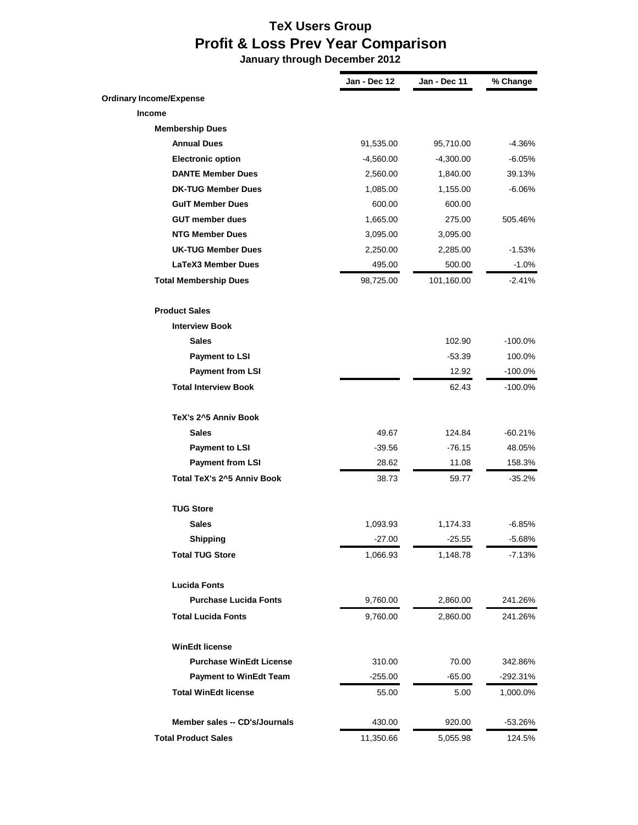## **TeX Users Group Profit & Loss Prev Year Comparison**

 **January through December 2012**

|                                   | Jan - Dec 12 | Jan - Dec 11 | % Change   |
|-----------------------------------|--------------|--------------|------------|
| <b>Ordinary Income/Expense</b>    |              |              |            |
| Income                            |              |              |            |
| <b>Membership Dues</b>            |              |              |            |
| <b>Annual Dues</b>                | 91,535.00    | 95,710.00    | -4.36%     |
| <b>Electronic option</b>          | $-4,560.00$  | $-4,300.00$  | $-6.05%$   |
| <b>DANTE Member Dues</b>          | 2,560.00     | 1,840.00     | 39.13%     |
| <b>DK-TUG Member Dues</b>         | 1,085.00     | 1,155.00     | -6.06%     |
| <b>GulT Member Dues</b>           | 600.00       | 600.00       |            |
| <b>GUT member dues</b>            | 1,665.00     | 275.00       | 505.46%    |
| <b>NTG Member Dues</b>            | 3,095.00     | 3,095.00     |            |
| <b>UK-TUG Member Dues</b>         | 2,250.00     | 2,285.00     | $-1.53%$   |
| <b>LaTeX3 Member Dues</b>         | 495.00       | 500.00       | $-1.0%$    |
| <b>Total Membership Dues</b>      | 98,725.00    | 101,160.00   | $-2.41%$   |
| <b>Product Sales</b>              |              |              |            |
| <b>Interview Book</b>             |              |              |            |
| <b>Sales</b>                      |              | 102.90       | -100.0%    |
| <b>Payment to LSI</b>             |              | $-53.39$     | 100.0%     |
| <b>Payment from LSI</b>           |              | 12.92        | $-100.0\%$ |
| <b>Total Interview Book</b>       |              | 62.43        | -100.0%    |
| TeX's 2^5 Anniv Book              |              |              |            |
| <b>Sales</b>                      | 49.67        | 124.84       | $-60.21%$  |
| <b>Payment to LSI</b>             | $-39.56$     | $-76.15$     | 48.05%     |
| <b>Payment from LSI</b>           | 28.62        | 11.08        | 158.3%     |
| <b>Total TeX's 2^5 Anniv Book</b> | 38.73        | 59.77        | $-35.2%$   |
| <b>TUG Store</b>                  |              |              |            |
| <b>Sales</b>                      | 1,093.93     | 1,174.33     | -6.85%     |
| <b>Shipping</b>                   | $-27.00$     | $-25.55$     | $-5.68%$   |
| <b>Total TUG Store</b>            | 1,066.93     | 1,148.78     | $-7.13%$   |
| <b>Lucida Fonts</b>               |              |              |            |
| <b>Purchase Lucida Fonts</b>      | 9,760.00     | 2,860.00     | 241.26%    |
| <b>Total Lucida Fonts</b>         | 9,760.00     | 2,860.00     | 241.26%    |
|                                   |              |              |            |
| <b>WinEdt license</b>             |              |              |            |
| <b>Purchase WinEdt License</b>    | 310.00       | 70.00        | 342.86%    |
| <b>Payment to WinEdt Team</b>     | $-255.00$    | $-65.00$     | -292.31%   |
| <b>Total WinEdt license</b>       | 55.00        | 5.00         | 1,000.0%   |
| Member sales -- CD's/Journals     | 430.00       | 920.00       | -53.26%    |
| <b>Total Product Sales</b>        | 11,350.66    | 5,055.98     | 124.5%     |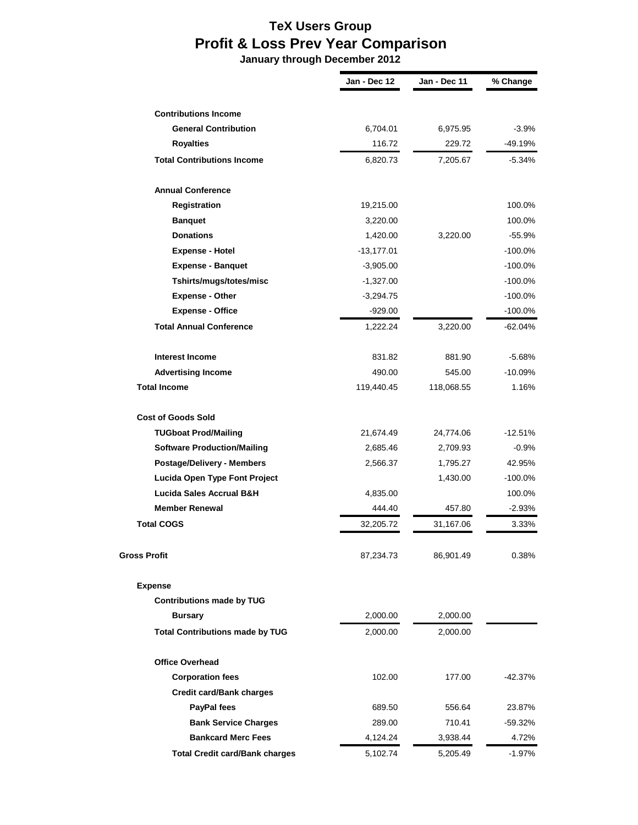## **TeX Users Group Profit & Loss Prev Year Comparison**

 **January through December 2012**

|                                        | Jan - Dec 12 | Jan - Dec 11 | % Change   |
|----------------------------------------|--------------|--------------|------------|
|                                        |              |              |            |
| <b>Contributions Income</b>            |              |              |            |
| <b>General Contribution</b>            | 6,704.01     | 6,975.95     | $-3.9%$    |
| <b>Royalties</b>                       | 116.72       | 229.72       | -49.19%    |
| <b>Total Contributions Income</b>      | 6,820.73     | 7,205.67     | -5.34%     |
| <b>Annual Conference</b>               |              |              |            |
| Registration                           | 19,215.00    |              | 100.0%     |
| <b>Banquet</b>                         | 3,220.00     |              | 100.0%     |
| <b>Donations</b>                       | 1,420.00     | 3,220.00     | $-55.9%$   |
| <b>Expense - Hotel</b>                 | $-13,177.01$ |              | $-100.0%$  |
| <b>Expense - Banquet</b>               | $-3,905.00$  |              | $-100.0%$  |
| Tshirts/mugs/totes/misc                | $-1,327.00$  |              | $-100.0%$  |
| <b>Expense - Other</b>                 | $-3,294.75$  |              | $-100.0\%$ |
| <b>Expense - Office</b>                | $-929.00$    |              | -100.0%    |
| <b>Total Annual Conference</b>         | 1,222.24     | 3,220.00     | $-62.04%$  |
| <b>Interest Income</b>                 | 831.82       | 881.90       | $-5.68%$   |
| <b>Advertising Income</b>              | 490.00       | 545.00       | $-10.09%$  |
| <b>Total Income</b>                    | 119,440.45   | 118,068.55   | 1.16%      |
| <b>Cost of Goods Sold</b>              |              |              |            |
| <b>TUGboat Prod/Mailing</b>            | 21,674.49    | 24,774.06    | $-12.51%$  |
| <b>Software Production/Mailing</b>     | 2,685.46     | 2,709.93     | $-0.9%$    |
| Postage/Delivery - Members             | 2,566.37     | 1,795.27     | 42.95%     |
| Lucida Open Type Font Project          |              | 1,430.00     | $-100.0\%$ |
| <b>Lucida Sales Accrual B&amp;H</b>    | 4,835.00     |              | 100.0%     |
| <b>Member Renewal</b>                  | 444.40       | 457.80       | $-2.93\%$  |
| <b>Total COGS</b>                      | 32,205.72    | 31,167.06    | 3.33%      |
| Gross Profit                           | 87,234.73    | 86,901.49    | 0.38%      |
| <b>Expense</b>                         |              |              |            |
| <b>Contributions made by TUG</b>       |              |              |            |
| <b>Bursary</b>                         | 2,000.00     | 2,000.00     |            |
| <b>Total Contributions made by TUG</b> | 2,000.00     | 2,000.00     |            |
| <b>Office Overhead</b>                 |              |              |            |
| <b>Corporation fees</b>                | 102.00       | 177.00       | $-42.37%$  |
| <b>Credit card/Bank charges</b>        |              |              |            |
| <b>PayPal fees</b>                     | 689.50       | 556.64       | 23.87%     |
| <b>Bank Service Charges</b>            | 289.00       | 710.41       | -59.32%    |
| <b>Bankcard Merc Fees</b>              | 4,124.24     | 3,938.44     | 4.72%      |
| <b>Total Credit card/Bank charges</b>  | 5,102.74     | 5,205.49     | -1.97%     |
|                                        |              |              |            |